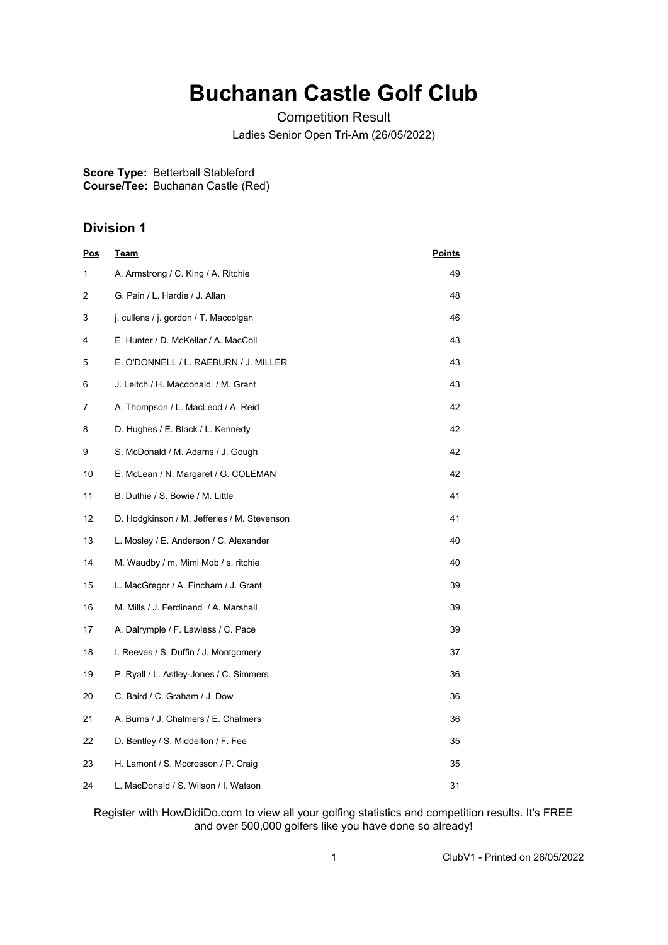## **Buchanan Castle Golf Club**

Competition Result Ladies Senior Open Tri-Am (26/05/2022)

**Score Type:** Betterball Stableford

**Course/Tee:** Buchanan Castle (Red)

## **Division 1**

| <u>Pos</u> | <u>Team</u>                                 | <b>Points</b> |
|------------|---------------------------------------------|---------------|
| 1          | A. Armstrong / C. King / A. Ritchie         | 49            |
| 2          | G. Pain / L. Hardie / J. Allan              | 48            |
| 3          | j. cullens / j. gordon / T. Maccolgan       | 46            |
| 4          | E. Hunter / D. McKellar / A. MacColl        | 43            |
| 5          | E. O'DONNELL / L. RAEBURN / J. MILLER       | 43            |
| 6          | J. Leitch / H. Macdonald / M. Grant         | 43            |
| 7          | A. Thompson / L. MacLeod / A. Reid          | 42            |
| 8          | D. Hughes / E. Black / L. Kennedy           | 42            |
| 9          | S. McDonald / M. Adams / J. Gough           | 42            |
| 10         | E. McLean / N. Margaret / G. COLEMAN        | 42            |
| 11         | B. Duthie / S. Bowie / M. Little            | 41            |
| 12         | D. Hodgkinson / M. Jefferies / M. Stevenson | 41            |
| 13         | L. Mosley / E. Anderson / C. Alexander      | 40            |
| 14         | M. Waudby / m. Mimi Mob / s. ritchie        | 40            |
| 15         | L. MacGregor / A. Fincham / J. Grant        | 39            |
| 16         | M. Mills / J. Ferdinand / A. Marshall       | 39            |
| 17         | A. Dalrymple / F. Lawless / C. Pace         | 39            |
| 18         | I. Reeves / S. Duffin / J. Montgomery       | 37            |
| 19         | P. Ryall / L. Astley-Jones / C. Simmers     | 36            |
| 20         | C. Baird / C. Graham / J. Dow               | 36            |
| 21         | A. Burns / J. Chalmers / E. Chalmers        | 36            |
| 22         | D. Bentley / S. Middelton / F. Fee          | 35            |
| 23         | H. Lamont / S. Mccrosson / P. Craig         | 35            |
| 24         | L. MacDonald / S. Wilson / I. Watson        | 31            |

Register with HowDidiDo.com to view all your golfing statistics and competition results. It's FREE and over 500,000 golfers like you have done so already!